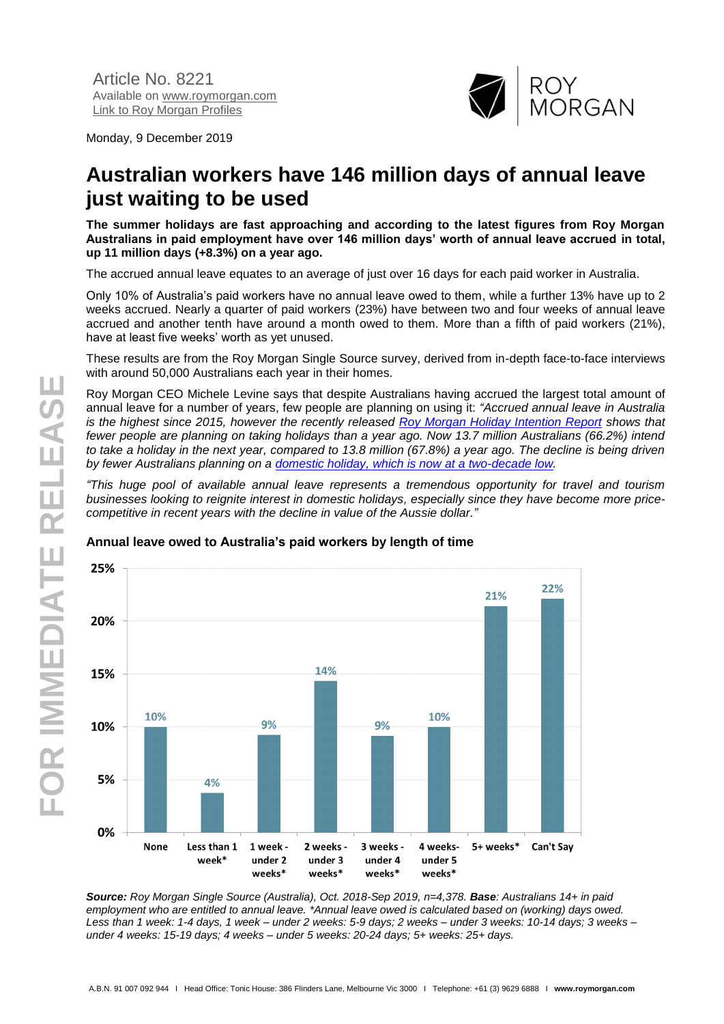Monday, 9 December 2019



# **Australian workers have 146 million days of annual leave just waiting to be used**

**The summer holidays are fast approaching and according to the latest figures from Roy Morgan Australians in paid employment have over 146 million days' worth of annual leave accrued in total, up 11 million days (+8.3%) on a year ago.**

The accrued annual leave equates to an average of just over 16 days for each paid worker in Australia.

Only 10% of Australia's paid workers have no annual leave owed to them, while a further 13% have up to 2 weeks accrued. Nearly a quarter of paid workers (23%) have between two and four weeks of annual leave accrued and another tenth have around a month owed to them. More than a fifth of paid workers (21%), have at least five weeks' worth as yet unused.

These results are from the Roy Morgan Single Source survey, derived from in-depth face-to-face interviews with around 50,000 Australians each year in their homes.

Roy Morgan CEO Michele Levine says that despite Australians having accrued the largest total amount of annual leave for a number of years, few people are planning on using it: *"Accrued annual leave in Australia is the highest since 2015, however the recently released [Roy Morgan Holiday Intention Report](https://store.roymorgan.com/product/Roy-Morgan-Leading-Indicator-Report---Holiday-Travel-Intention-13531) shows that fewer people are planning on taking holidays than a year ago. Now 13.7 million Australians (66.2%) intend to take a holiday in the next year, compared to 13.8 million (67.8%) a year ago. The decline is being driven by fewer Australians planning on a domestic holiday, [which is now at a two-decade low.](http://www.roymorgan.com/findings/8204-australian-holiday-intentions-report-september-2019-201911190508)*

*"This huge pool of available annual leave represents a tremendous opportunity for travel and tourism businesses looking to reignite interest in domestic holidays, especially since they have become more pricecompetitive in recent years with the decline in value of the Aussie dollar."* 



#### **Annual leave owed to Australia's paid workers by length of time**

*Source: Roy Morgan Single Source (Australia), Oct. 2018-Sep 2019, n=4,378. Base: Australians 14+ in paid employment who are entitled to annual leave. \*Annual leave owed is calculated based on (working) days owed. Less than 1 week: 1-4 days, 1 week – under 2 weeks: 5-9 days; 2 weeks – under 3 weeks: 10-14 days; 3 weeks – under 4 weeks: 15-19 days; 4 weeks – under 5 weeks: 20-24 days; 5+ weeks: 25+ days.*